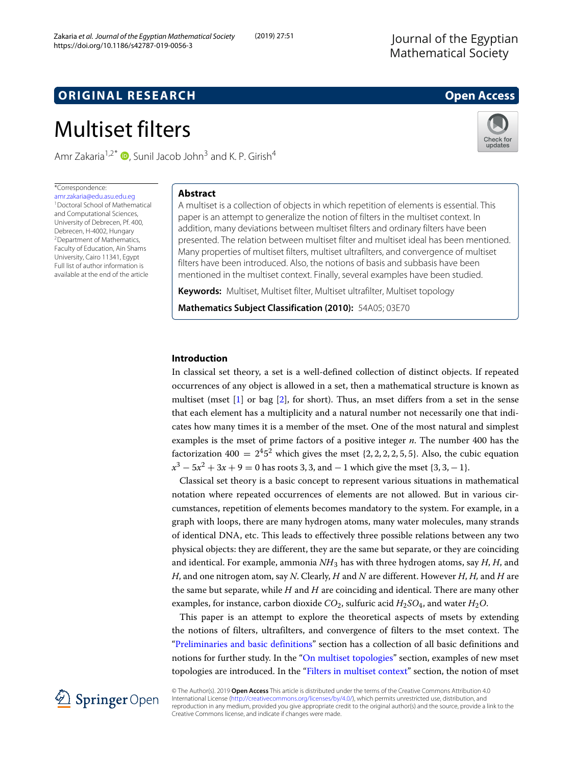## **ORIGINAL RESEARCH Open Access**

# Multiset filters

Amr Zakaria<sup>1[,](http://orcid.org/0000-0003-4071-0042)2\*</sup>  $\bullet$ , Sunil Jacob John<sup>3</sup> and K. P. Girish<sup>4</sup>

## \*Correspondence:

[amr.zakaria@edu.asu.edu.eg](mailto: amr.zakaria@edu.asu.edu.eg) 1Doctoral School of Mathematical and Computational Sciences, University of Debrecen, Pf. 400, Debrecen, H-4002, Hungary 2Department of Mathematics, Faculty of Education, Ain Shams University, Cairo 11341, Egypt Full list of author information is available at the end of the article

## **Abstract**

A multiset is a collection of objects in which repetition of elements is essential. This paper is an attempt to generalize the notion of filters in the multiset context. In addition, many deviations between multiset filters and ordinary filters have been presented. The relation between multiset filter and multiset ideal has been mentioned. Many properties of multiset filters, multiset ultrafilters, and convergence of multiset filters have been introduced. Also, the notions of basis and subbasis have been mentioned in the multiset context. Finally, several examples have been studied.

**Keywords:** Multiset, Multiset filter, Multiset ultrafilter, Multiset topology

**Mathematics Subject Classification (2010):** 54A05; 03E70

## **Introduction**

In classical set theory, a set is a well-defined collection of distinct objects. If repeated occurrences of any object is allowed in a set, then a mathematical structure is known as multiset (mset [\[1\]](#page-11-0) or bag [\[2\]](#page-11-1), for short). Thus, an mset differs from a set in the sense that each element has a multiplicity and a natural number not necessarily one that indicates how many times it is a member of the mset. One of the most natural and simplest examples is the mset of prime factors of a positive integer *n*. The number 400 has the factorization 400 =  $2<sup>4</sup>5<sup>2</sup>$  which gives the mset {2, 2, 2, 2, 5, 5}. Also, the cubic equation  $x^3 - 5x^2 + 3x + 9 = 0$  has roots 3, 3, and  $-1$  which give the mset {3, 3, -1}.

Classical set theory is a basic concept to represent various situations in mathematical notation where repeated occurrences of elements are not allowed. But in various circumstances, repetition of elements becomes mandatory to the system. For example, in a graph with loops, there are many hydrogen atoms, many water molecules, many strands of identical DNA, etc. This leads to effectively three possible relations between any two physical objects: they are different, they are the same but separate, or they are coinciding and identical. For example, ammonia *NH*<sup>3</sup> has with three hydrogen atoms, say *H*, *H*, and *H*, and one nitrogen atom, say *N*. Clearly, *H* and *N* are different. However *H*, *H,* and *H* are the same but separate, while *H* and *H* are coinciding and identical. There are many other examples, for instance, carbon dioxide  $CO_2$ , sulfuric acid  $H_2SO_4$ , and water  $H_2O$ .

This paper is an attempt to explore the theoretical aspects of msets by extending the notions of filters, ultrafilters, and convergence of filters to the mset context. The ["Preliminaries and basic definitions"](#page-1-0) section has a collection of all basic definitions and notions for further study. In the ["On multiset topologies"](#page-4-0) section, examples of new mset topologies are introduced. In the ["Filters in multiset context"](#page-5-0) section, the notion of mset



© The Author(s). 2019 **Open Access** This article is distributed under the terms of the Creative Commons Attribution 4.0 International License [\(http://creativecommons.org/licenses/by/4.0/\)](http://creativecommons.org/licenses/by/4.0/), which permits unrestricted use, distribution, and reproduction in any medium, provided you give appropriate credit to the original author(s) and the source, provide a link to the Creative Commons license, and indicate if changes were made.



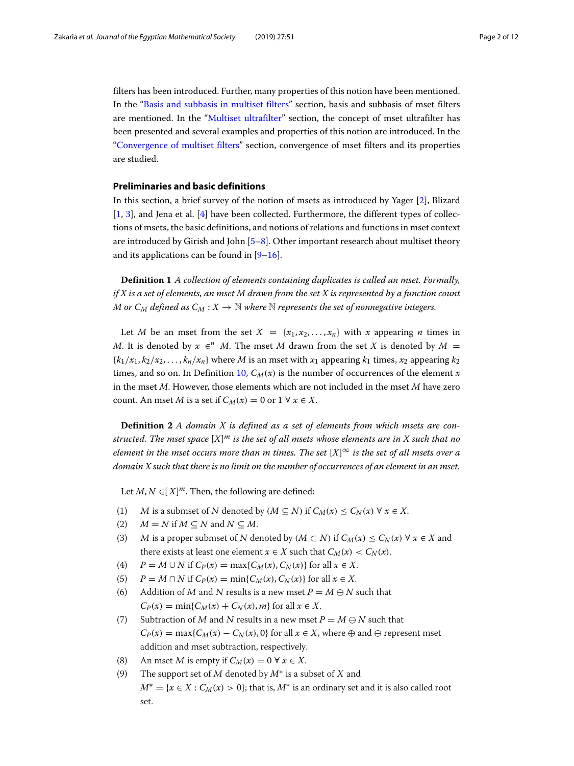filters has been introduced. Further, many properties of this notion have been mentioned. In the ["Basis and subbasis in multiset filters"](#page-7-0) section, basis and subbasis of mset filters are mentioned. In the ["Multiset ultrafilter"](#page-8-0) section, the concept of mset ultrafilter has been presented and several examples and properties of this notion are introduced. In the ["Convergence of multiset filters"](#page-9-0) section, convergence of mset filters and its properties are studied.

### <span id="page-1-0"></span>**Preliminaries and basic definitions**

In this section, a brief survey of the notion of msets as introduced by Yager [\[2\]](#page-11-1), Blizard [\[1,](#page-11-0) [3\]](#page-11-2), and Jena et al. [\[4\]](#page-11-3) have been collected. Furthermore, the different types of collections of msets, the basic definitions, and notions of relations and functions in mset context are introduced by Girish and John  $[5-8]$  $[5-8]$ . Other important research about multiset theory and its applications can be found in  $[9-16]$  $[9-16]$ .

**Definition 1** *A collection of elements containing duplicates is called an mset. Formally, if X is a set of elements, an mset M drawn from the set X is represented by a function count M* or  $C_M$  *defined as*  $C_M$  :  $X \to \mathbb{N}$  *where*  $\mathbb{N}$  *represents the set of nonnegative integers.* 

Let *M* be an mset from the set  $X = \{x_1, x_2, \ldots, x_n\}$  with *x* appearing *n* times in *M*. It is denoted by  $x \in \mathbb{R}^n$  *M*. The mset *M* drawn from the set *X* is denoted by  $M =$  ${k_1/x_1, k_2/x_2, \ldots, k_n/x_n}$  where *M* is an mset with  $x_1$  appearing  $k_1$  times,  $x_2$  appearing  $k_2$ times, and so on. In Definition [10,](#page-9-1)  $C_M(x)$  is the number of occurrences of the element *x* in the mset *M*. However, those elements which are not included in the mset *M* have zero count. An mset *M* is a set if  $C_M(x) = 0$  or  $1 \forall x \in X$ .

**Definition 2** *A domain X is defined as a set of elements from which msets are constructed. The mset space* [*X*] *<sup>m</sup> is the set of all msets whose elements are in X such that no element in the mset occurs more than m times. The set* [*X*] ∞ *is the set of all msets over a domain X such that there is no limit on the number of occurrences of an element in an mset.*

Let  $M, N \in [X]^m$ . Then, the following are defined:

- (1) M is a submset of N denoted by  $(M \subseteq N)$  if  $C_M(x) \leq C_N(x) \forall x \in X$ .
- (2)  $M = N$  if  $M \subseteq N$  and  $N \subseteq M$ .
- (3) M is a proper submset of N denoted by  $(M \subset N)$  if  $C_M(x) \leq C_N(x) \forall x \in X$  and there exists at least one element  $x \in X$  such that  $C_M(x) < C_N(x)$ .
- (4)  $P = M \cup N$  if  $C_P(x) = \max\{C_M(x), C_N(x)\}$  for all  $x \in X$ .
- (5)  $P = M \cap N$  if  $C_P(x) = \min\{C_M(x), C_N(x)\}$  for all  $x \in X$ .
- (6) Addition of M and N results is a new mset  $P = M \oplus N$  such that  $C_P(x) = \min\{C_M(x) + C_N(x), m\}$  for all  $x \in X$ .
- (7) Subtraction of M and N results in a new mset  $P = M \ominus N$  such that  $C_P(x) = \max\{C_M(x) - C_N(x), 0\}$  for all  $x \in X$ , where  $\oplus$  and  $\ominus$  represent mset addition and mset subtraction, respectively.
- (8) An mset *M* is empty if  $C_M(x) = 0 \forall x \in X$ .
- (9) The support set of <sup>M</sup> denoted by *M*∗ is a subset of <sup>X</sup> and  $M^* = \{x \in X : C_M(x) > 0\}$ ; that is,  $M^*$  is an ordinary set and it is also called root set.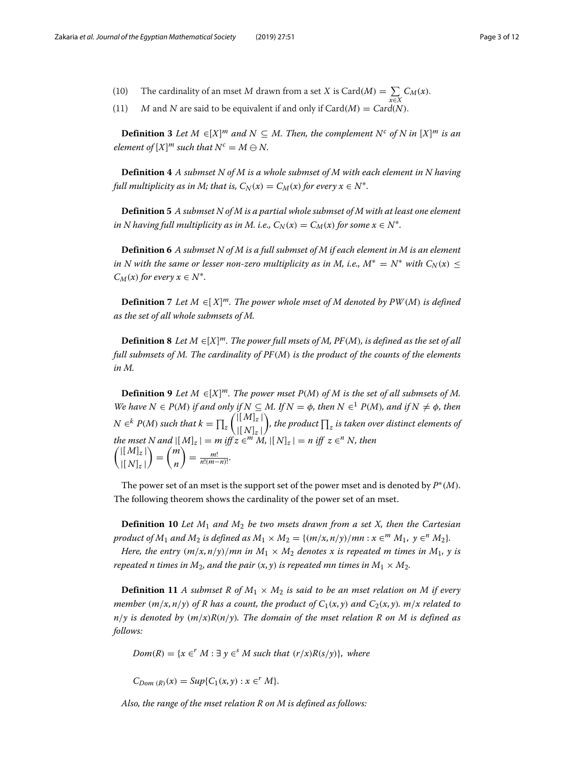- (10) The cardinality of an mset M drawn from a set X is Card(M) =  $\sum_{i} C_M(x)$ .
- (11) M and N are said to be equivalent if and only if Card(*M*) = Card(*N*).

**Definition 3** Let  $M \in [X]^m$  and  $N \subseteq M$ . Then, the complement  $N^c$  of N in  $[X]^m$  is an *element of*  $[X]^m$  *such that*  $N^c = M \ominus N$ .

**Definition 4** *A submset N of M is a whole submset of M with each element in N having full multiplicity as in M; that is,*  $C_N(x) = C_M(x)$  *for every*  $x \in N^*$ *.* 

**Definition 5** *A submset N of M is a partial whole submset of M with at least one element in N having full multiplicity as in M. i.e.,*  $C_N(x) = C_M(x)$  *for some*  $x \in N^*$ *.* 

**Definition 6** *A submset N of M is a full submset of M if each element in M is an element in N with the same or lesser non-zero multiplicity as in M, i.e.,*  $M^* = N^*$  *with*  $C_N(x) \leq$  $C_M(x)$  *for every*  $x \in N^*$ *.* 

**Definition 7** *Let M* ∈[ *X*] *m. The power whole mset of M denoted by PW*(*M*) *is defined as the set of all whole submsets of M.*

**Definition 8** *Let M* ∈[*X*] *m. The power full msets of M, PF*(*M*)*, is defined as the set of all full submsets of M. The cardinality of PF*(*M*) *is the product of the counts of the elements in M.*

**Definition 9** *Let*  $M \in [X]^m$ . The power mset  $P(M)$  of  $M$  is the set of all submsets of  $M$ . *We have*  $N \in P(M)$  *if and only if*  $N \subseteq M$ . *If*  $N = \phi$ *, then*  $N \in$ <sup>1</sup>  $P(M)$ *, and if*  $N \neq \phi$ *, then*  $N \in$ <sup>k</sup>  $P(M)$  such that  $k = \prod_z$  $\int |[M]_z|$  $\lfloor N \rfloor_z \rfloor$ ), the product  $\prod_z$  is taken over distinct elements of *the mset N* and  $|(M]_z| = m$  iff  $z \in M$  *M*,  $|(N]_z| = n$  iff  $z \in M$  *N, then*  $\int |[M]_z|$  $|[N]_z|$  $\setminus$ = *m n*  $= \frac{m!}{n!(m-n)!}.$ 

The power set of an mset is the support set of the power mset and is denoted by  $P^*(M)$ . The following theorem shows the cardinality of the power set of an mset.

**Definition 10** *Let M*<sup>1</sup> *and M*<sup>2</sup> *be two msets drawn from a set X, then the Cartesian product of*  $M_1$  *and*  $M_2$  *is defined as*  $M_1 \times M_2 = \{(m/x, n/y)/mn : x \in M_1, y \in M_2\}$ .

*Here, the entry*  $(m/x, n/y)/mn$  *in*  $M_1 \times M_2$  *denotes x is repeated m times in*  $M_1$ *, y is repeated n times in*  $M_2$ *, and the pair*  $(x, y)$  *is repeated mn times in*  $M_1 \times M_2$ *.* 

**Definition 11** *A submset R of*  $M_1 \times M_2$  *is said to be an mset relation on M if every member*  $(m/x, n/y)$  of R has a count, the product of  $C_1(x, y)$  and  $C_2(x, y)$ .  $m/x$  related to  $n/\gamma$  is denoted by  $(m/x)R(n/\gamma)$ . The domain of the mset relation R on M is defined as *follows:*

 $Dom(R) = \{x \in K^T M : \exists y \in K^S M \text{ such that } (r/x)R(s/y)\}, where$ 

 $C_{Dom(R)}(x) = Sup\{C_1(x, y) : x \in M\}.$ 

*Also, the range of the mset relation R on M is defined as follows:*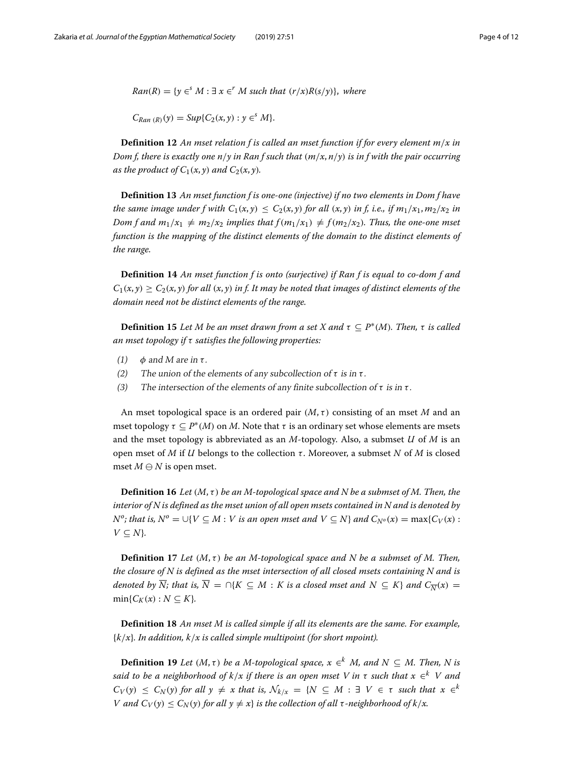*Ran*(*R*) = { $y \in S$  *M* :  $\exists x \in T$  *M* such that  $(r/x)R(s/y)$ }, where

 $C_{Ran (R)}(y) = Sup\{C_2(x, y) : y \in M\}.$ 

**Definition 12** *An mset relation f is called an mset function if for every element m*/*x in Dom f, there is exactly one n*/*y in Ran f such that* (*m*/*x*, *n*/*y*) *is in f with the pair occurring as the product of*  $C_1(x, y)$  *and*  $C_2(x, y)$ *.* 

**Definition 13** *An mset function f is one-one (injective) if no two elements in Dom f have the same image under f with*  $C_1(x, y) \leq C_2(x, y)$  *for all*  $(x, y)$  *in f, i.e., if*  $m_1/x_1, m_2/x_2$  *in Dom f and*  $m_1/x_1 \neq m_2/x_2$  *implies that*  $f(m_1/x_1) \neq f(m_2/x_2)$ *. Thus, the one-one mset function is the mapping of the distinct elements of the domain to the distinct elements of the range.*

**Definition 14** *An mset function f is onto (surjective) if Ran f is equal to co-dom f and*  $C_1(x, y) \ge C_2(x, y)$  *for all*  $(x, y)$  *in f. It may be noted that images of distinct elements of the domain need not be distinct elements of the range.*

**Definition 15** Let M be an mset drawn from a set X and  $\tau \subset P^*(M)$ . Then,  $\tau$  is called *an mset topology if* τ *satisfies the following properties:*

- (1)  $\phi$  and M are in  $\tau$ .
- (2) The union of the elements of any subcollection of  $\tau$  is in  $\tau$ .
- (3) The intersection of the elements of any finite subcollection of  $\tau$  is in  $\tau$ .

An mset topological space is an ordered pair  $(M, \tau)$  consisting of an mset *M* and an mset topology  $\tau \subseteq P^*(M)$  on M. Note that  $\tau$  is an ordinary set whose elements are msets and the mset topology is abbreviated as an *M*-topology. Also, a submset *U* of *M* is an open mset of *M* if *U* belongs to the collection τ . Moreover, a submset *N* of *M* is closed mset  $M \ominus N$  is open mset.

**Definition 16** *Let* (*M*, τ ) *be an M-topological space and N be a submset of M. Then, the interior of N is defined as the mset union of all open msets contained in N and is denoted by N*<sup>*o*</sup>; that is,  $N$ <sup>*o*</sup> = ∪{*V* ⊆ *M* : *V* is an open mset and *V* ⊆ *N*} and  $C_{N}$ <sup>*o*</sup>(*x*) = max{ $C_V$ (*x*) :  $V \subseteq N$ *}.* 

**Definition 17** Let  $(M, \tau)$  be an M-topological space and N be a submset of M. Then, *the closure of N is defined as the mset intersection of all closed msets containing N and is denoted by*  $\overline{N}$ *; that is,*  $\overline{N} = \bigcap\{K \subseteq M : K \text{ is a closed most and } N \subseteq K\}$  and  $C_{\overline{N}}(x) =$  $min{C_K(x): N \subseteq K}$ .

**Definition 18** *An mset M is called simple if all its elements are the same. For example,* {*k*/*x*}*. In addition, k*/*x is called simple multipoint (for short mpoint).*

**Definition 19** *Let*  $(M, \tau)$  *be a M-topological space,*  $x \in K$  *M, and*  $N \subseteq M$ *. Then, N is said to be a neighborhood of k*/*x if there is an open mset V in* <sup>τ</sup> *such that x* <sup>∈</sup>*<sup>k</sup> V and*  $C_V(y) \leq C_N(y)$  *for all y*  $\neq x$  *that is,*  $\mathcal{N}_{k/x} = \{N \subseteq M : \exists V \in \tau \text{ such that } x \in \mathbb{R} \}$ *V* and  $C_V(y) \leq C_N(y)$  for all  $y \neq x$  *is the collection of all*  $\tau$ -neighborhood of  $k/x$ .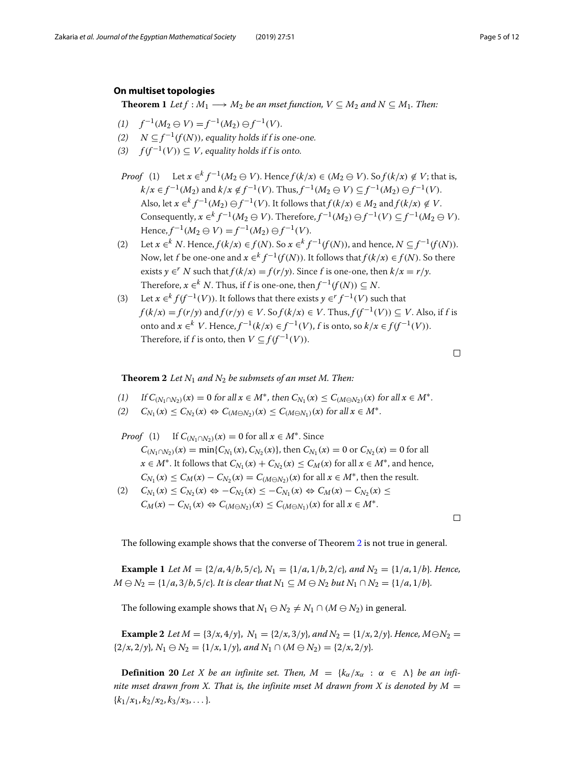## <span id="page-4-0"></span>**On multiset topologies**

**Theorem 1** *Let*  $f : M_1 \longrightarrow M_2$  *be an mset function,*  $V \subseteq M_2$  *and*  $N \subseteq M_1$ *. Then:* 

- $f^{-1}(M_2 \oplus V) = f^{-1}(M_2) \oplus f^{-1}(V).$
- (2)  $N \subset f^{-1}(f(N))$ , equality holds if f is one-one.
- (3)  $f(f^{-1}(V)) \subseteq V$ , equality holds if f is onto.
- *Proof* (1) Let  $x \in K$   $f^{-1}(M_2 \oplus V)$ . Hence  $f(k/x) \in (M_2 \oplus V)$ . So  $f(k/x) \notin V$ ; that is, *k*/*x* ∈ *f*<sup>-1</sup>(*M*<sub>2</sub>) and *k*/*x* ∉ *f*<sup>-1</sup>(*V*). Thus, *f*<sup>-1</sup>(*M*<sub>2</sub> ⊖ *V*) ⊆ *f*<sup>-1</sup>(*M*<sub>2</sub>) ⊖ *f*<sup>-1</sup>(*V*). Also, let  $x \in K^{1-1}(M_2) \oplus f^{-1}(V)$ . It follows that  $f(k/x) \in M_2$  and  $f(k/x) \notin V$ . Consequently,  $x \in k^k$   $f^{-1}(M_2 \oplus V)$ . Therefore,  $f^{-1}(M_2) \ominus f^{-1}(V) \subset f^{-1}(M_2 \ominus V)$ .  $Hence, f^{-1}(M_2 \oplus V) = f^{-1}(M_2) \oplus f^{-1}(V).$
- (2) Let  $x \in K$  *N*. Hence,  $f(k/x) \in f(N)$ . So  $x \in K$   $f^{-1}(f(N))$ , and hence,  $N \subseteq f^{-1}(f(N))$ . Now, let *f* be one-one and  $x \in k^k$   $f^{-1}(f(N))$ . It follows that  $f(k/x) \in f(N)$ . So there exists  $\gamma \in K$  *N* such that  $f(k/x) = f(r/y)$ . Since f is one-one, then  $k/x = r/y$ . Therefore,  $x \in K^k$  *N*. Thus, if *f* is one-one, then  $f^{-1}(f(N)) \subseteq N$ .
- (3) Let  $x \in k^k f(f^{-1}(V))$ . It follows that there exists  $\gamma \in f^{-1}(V)$  such that  $f(k/x) = f(r/y)$  and  $f(r/y) \in V$ . So  $f(k/x) \in V$ . Thus,  $f(f^{-1}(V)) \subset V$ . Also, if f is onto and *x* ∈<sup>*k*</sup> *V*. Hence,  $f^{-1}(k/x)$  ∈  $f^{-1}(V)$ , *f* is onto, so  $k/x$  ∈  $f(f^{-1}(V))$ . Therefore, if f is onto, then  $V \subseteq f(f^{-1}(V))$ .

 $\Box$ 

## <span id="page-4-1"></span>**Theorem 2** *Let N*<sup>1</sup> *and N*<sup>2</sup> *be submsets of an mset M. Then:*

- (1) If  $C_{(N_1 \cap N_2)}(x) = 0$  for all  $x \in M^*$ , then  $C_{N_1}(x) \leq C_{(M \cap N_2)}(x)$  for all  $x \in M^*$ .
- $(C)$   $C_{N_1}(x) \leq C_{N_2}(x) \Leftrightarrow C_{(M \ominus N_2)}(x) \leq C_{(M \ominus N_1)}(x)$  for all  $x \in M^*$ .
- *Proof* (1) If  $C_{(N_1 \cap N_2)}(x) = 0$  for all  $x \in M^*$ . Since  $C_{(N_1 \cap N_2)}(x) = \min\{C_{N_1}(x), C_{N_2}(x)\}\$ , then  $C_{N_1}(x) = 0$  or  $C_{N_2}(x) = 0$  for all *x* ∈ *M*<sup>\*</sup>. It follows that  $C_{N_1}(x) + C_{N_2}(x) \leq C_M(x)$  for all  $x \in M^*$ , and hence,  $C_{N_1}(x) \leq C_M(x) - C_{N_2}(x) = C_{(M \ominus N_2)}(x)$  for all  $x \in M^*$ , then the result.  $(C_1)$   $C_{N_1}(x) \leq C_{N_2}(x) \Leftrightarrow -C_{N_2}(x) \leq -C_{N_1}(x) \Leftrightarrow C_M(x) - C_{N_2}(x) \leq C_{N_1}(x)$
- $C_M(x) C_{N_1}(x) \Leftrightarrow C_{(M \ominus N_2)}(x) \leq C_{(M \ominus N_1)}(x)$  for all  $x \in M^*$ .

 $\Box$ 

The following example shows that the converse of Theorem [2](#page-4-1) is not true in general.

**Example 1** *Let*  $M = \{2/a, 4/b, 5/c\}$ ,  $N_1 = \{1/a, 1/b, 2/c\}$ , and  $N_2 = \{1/a, 1/b\}$ . Hence, *M*  $\ominus$  *N*<sub>2</sub> = {1/*a*, 3/*b*, 5/*c*}*. It is clear that N*<sub>1</sub> ⊆ *M* $\ominus$  *N*<sub>2</sub> *but N*<sub>1</sub> ∩ *N*<sub>2</sub> = {1/*a*, 1/*b*}*.* 

The following example shows that  $N_1 \oplus N_2 \neq N_1 \cap (M \oplus N_2)$  in general.

**Example 2** *Let*  $M = \{3/x, 4/y\}$ ,  $N_1 = \{2/x, 3/y\}$ , and  $N_2 = \{1/x, 2/y\}$ . Hence,  $M \ominus N_2 =$  ${2/x, 2/y}$ ,  $N_1 \oplus N_2 = {1/x, 1/y}$ , and  $N_1 \cap (M \oplus N_2) = {2/x, 2/y}$ .

**Definition 20** *Let X be an infinite set. Then,*  $M = \{k_\alpha / x_\alpha : \alpha \in \Lambda\}$  *be an infinite mset drawn from X. That is, the infinite mset M drawn from X is denoted by M*  $=$  ${k_1/x_1, k_2/x_2, k_3/x_3, \ldots}.$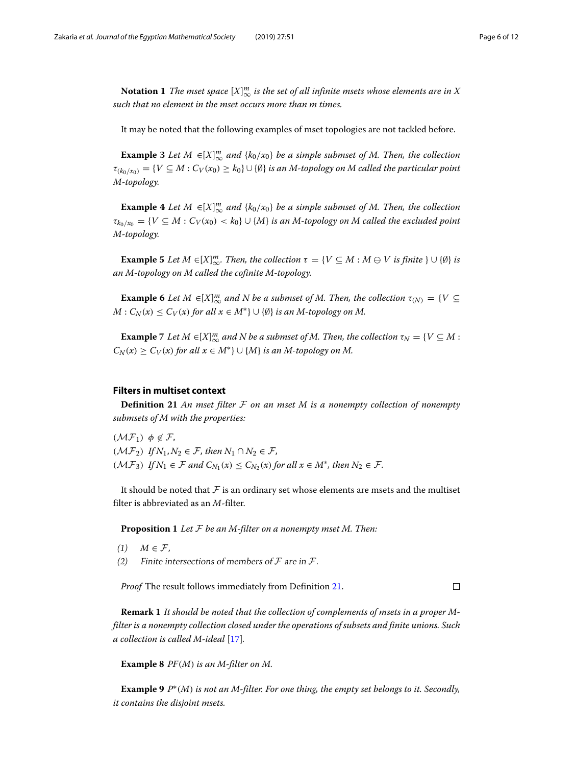$\bf{Notation\ 1}$  *The mset space*  $[X]_\infty^m$  *is the set of all infinite msets whose elements are in X such that no element in the mset occurs more than m times.*

It may be noted that the following examples of mset topologies are not tackled before.

**Example 3** *Let*  $M \in [X]_{\infty}^m$  *and*  $\{k_0/x_0\}$  *be a simple submset of*  $M$ *. Then, the collection*  $\tau_{(k_0/x_0)} = \{V \subseteq M : C_V(x_0) \geq k_0\} \cup \{\emptyset\}$  *is an M-topology on M called the particular point M-topology.*

**Example 4** *Let*  $M \in [X]_{\infty}^m$  *and*  $\{k_0/x_0\}$  *be a simple submset of*  $M$ *. Then, the collection*  $\tau_{k_0/x_0} = \{V \subseteq M : C_V(x_0) < k_0\} \cup \{M\}$  *is an M-topology on M called the excluded point M-topology.*

**Example 5** *Let*  $M \in [X]_{\infty}^m$ . Then, the collection  $\tau = \{V \subseteq M : M \ominus V \text{ is finite } \} \cup \{0\}$  is *an M-topology on M called the cofinite M-topology.*

**Example 6** *Let*  $M \in [X]_{\infty}^m$  *and*  $N$  *be a submset of*  $M$ *. Then, the collection*  $\tau_{(N)} = \{V \subseteq$  $M: C_N(x) \leq C_V(x)$  *for all*  $x \in M^*$   $\cup$   $\{\emptyset\}$  *is an M-topology on M.* 

**Example** 7 *Let*  $M \in [X]_{\infty}^m$  *and*  $N$  *be a submset of*  $M$ *. Then, the collection*  $\tau_N = \{V \subseteq M :$  $C_N(x) \ge C_V(x)$  *for all*  $x \in M^*$   $\cup$   $\{M\}$  *is an M-topology on M.* 

## <span id="page-5-0"></span>**Filters in multiset context**

<span id="page-5-1"></span>**Definition 21** *An mset filter* F *on an mset M is a nonempty collection of nonempty submsets of M with the properties:*

 $(\mathcal{MF}_1)$   $\phi \notin \mathcal{F}$ ,  $(M\mathcal{F}_2)$  *If*  $N_1, N_2 \in \mathcal{F}$ , then  $N_1 \cap N_2 \in \mathcal{F}$ ,  $(M\mathcal{F}_3)$  *If*  $N_1 \in \mathcal{F}$  and  $C_{N_1}(x) \leq C_{N_2}(x)$  for all  $x \in M^*$ , then  $N_2 \in \mathcal{F}$ .

It should be noted that  $\mathcal F$  is an ordinary set whose elements are msets and the multiset filter is abbreviated as an *M*-filter.

**Proposition 1** *Let* F *be an M-filter on a nonempty mset M. Then:*

- $(1)$  *M*  $\in$  *F*,
- (2) Finite intersections of members of  $\mathcal F$  are in  $\mathcal F$ .

*Proof* The result follows immediately from Definition [21.](#page-5-1)

 $\Box$ 

**Remark 1** *It should be noted that the collection of complements of msets in a proper Mfilter is a nonempty collection closed under the operations of subsets and finite unions. Such a collection is called M-ideal* [\[17\]](#page-11-8)*.*

**Example 8** *PF*(*M*) *is an M-filter on M.*

**Example 9** *P*∗(*M*) *is not an M-filter. For one thing, the empty set belongs to it. Secondly, it contains the disjoint msets.*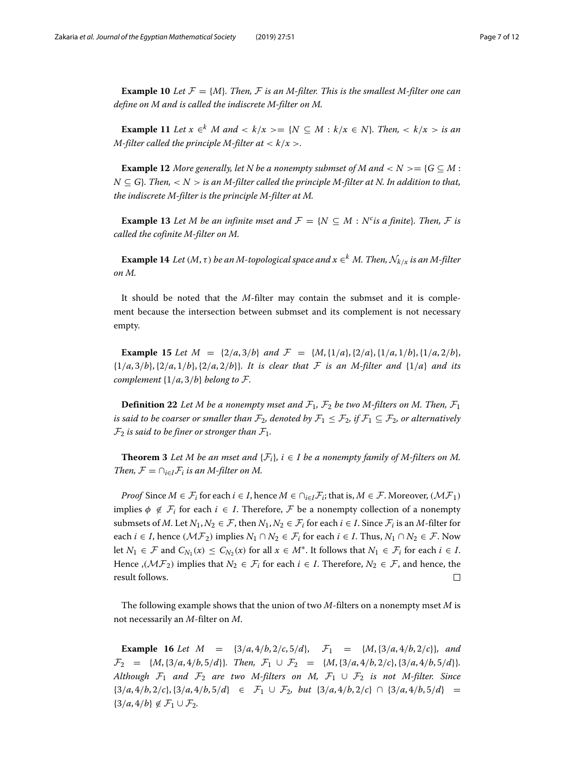**Example 10** Let  $\mathcal{F} = \{M\}$ . Then,  $\mathcal{F}$  is an M-filter. This is the smallest M-filter one can *define on M and is called the indiscrete M-filter on M.*

**Example 11** Let  $x \in K$  *M* and  $\lt k/x \gt k$   $\leq M : k/x \in N$ *. Then,*  $\lt k/x >$  *is an M-filter called the principle M-filter at*  $\langle k/x \rangle$ .

**Example 12** *More generally, let N be a nonempty submset of M* and  $\langle N \rangle = \{G \subseteq M :$  $N \subseteq G$ *. Then,* < *N* > *is an M-filter called the principle M-filter at N. In addition to that, the indiscrete M-filter is the principle M-filter at M.*

**Example 13** *Let M be an infinite mset and*  $\mathcal{F} = \{N \subseteq M : N^c \text{ is a finite}\}\$ *. Then,*  $\mathcal{F}$  *is called the cofinite M-filter on M.*

**Example 14** *Let*  $(M, \tau)$  *be an M-topological space and*  $x \in K$  *M. Then,*  $\mathcal{N}_{k/x}$  *is an M-filter on M.*

It should be noted that the *M*-filter may contain the submset and it is complement because the intersection between submset and its complement is not necessary empty.

**Example 15** Let  $M = \{2/a, 3/b\}$  and  $\mathcal{F} = \{M, \{1/a\}, \{2/a\}, \{1/a, 1/b\}, \{1/a, 2/b\}$ {1/*a*, 3/*b*},{2/*a*, 1/*b*},{2/*a*, 2/*b*}}*. It is clear that* F *is an M-filter and* {1/*a*} *and its complement*  $\{1/a, 3/b\}$  *belong to*  $\mathcal{F}$ *.* 

**Definition 22** Let M be a nonempty mset and  $\mathcal{F}_1$ ,  $\mathcal{F}_2$  be two M-filters on M. Then,  $\mathcal{F}_1$ *is said to be coarser or smaller than*  $\mathcal{F}_2$ *, denoted by*  $\mathcal{F}_1 \leq \mathcal{F}_2$ *, if*  $\mathcal{F}_1 \subseteq \mathcal{F}_2$ *, or alternatively*  $\mathcal{F}_2$  *is said to be finer or stronger than*  $\mathcal{F}_1$ *.* 

**Theorem 3** Let M be an mset and  $\{F_i\}$ ,  $i \in I$  be a nonempty family of M-filters on M. *Then,*  $\mathcal{F} = \bigcap_{i \in I} \mathcal{F}_i$  *is an M-filter on M.* 

*Proof* Since  $M \in \mathcal{F}_i$  for each  $i \in I$ , hence  $M \in \bigcap_{i \in I} \mathcal{F}_i$ ; that is,  $M \in \mathcal{F}$ . Moreover,  $(M\mathcal{F}_1)$ implies  $\phi \notin \mathcal{F}_i$  for each  $i \in I$ . Therefore,  $\mathcal F$  be a nonempty collection of a nonempty submsets of *M*. Let  $N_1, N_2 \in \mathcal{F}$ , then  $N_1, N_2 \in \mathcal{F}$  for each  $i \in I$ . Since  $\mathcal{F}$  is an *M*-filter for each *i* ∈ *I*, hence ( $M\mathcal{F}_2$ ) implies  $N_1 \cap N_2 \in \mathcal{F}_i$  for each *i* ∈ *I*. Thus,  $N_1 \cap N_2 \in \mathcal{F}$ . Now let  $N_1 \in \mathcal{F}$  and  $C_{N_1}(x) \leq C_{N_2}(x)$  for all  $x \in M^*$ . It follows that  $N_1 \in \mathcal{F}_i$  for each  $i \in I$ . Hence ,( $\mathcal{MF}_2$ ) implies that  $N_2 \in \mathcal{F}_i$  for each  $i \in I$ . Therefore,  $N_2 \in \mathcal{F}$ , and hence, the result follows.  $\Box$ 

The following example shows that the union of two *M*-filters on a nonempty mset *M* is not necessarily an *M*-filter on *M*.

**Example 16** *Let*  $M = \{3/a, 4/b, 2/c, 5/d\}$ ,  $\mathcal{F}_1 = \{M, \{3/a, 4/b, 2/c\}\}$ , and  $\mathcal{F}_2$  = {*M*, {3/*a*, 4/*b*, 5/*d*}}*. Then,*  $\mathcal{F}_1 \cup \mathcal{F}_2$  = {*M*, {3/*a*, 4/*b*, 2/*c*}, {3/*a*, 4/*b*, 5/*d*}}*. Although*  $\mathcal{F}_1$  *and*  $\mathcal{F}_2$  *are two M-filters on M,*  $\mathcal{F}_1 \cup \mathcal{F}_2$  *is not M-filter. Since*  ${3/a, 4/b, 2/c}, {3/a, 4/b, 5/d} \in \mathcal{F}_1 \cup \mathcal{F}_2$ , but  ${3/a, 4/b, 2/c} \cap {3/a, 4/b, 5/d} =$  $\{3/a, 4/b\} \notin \mathcal{F}_1 \cup \mathcal{F}_2.$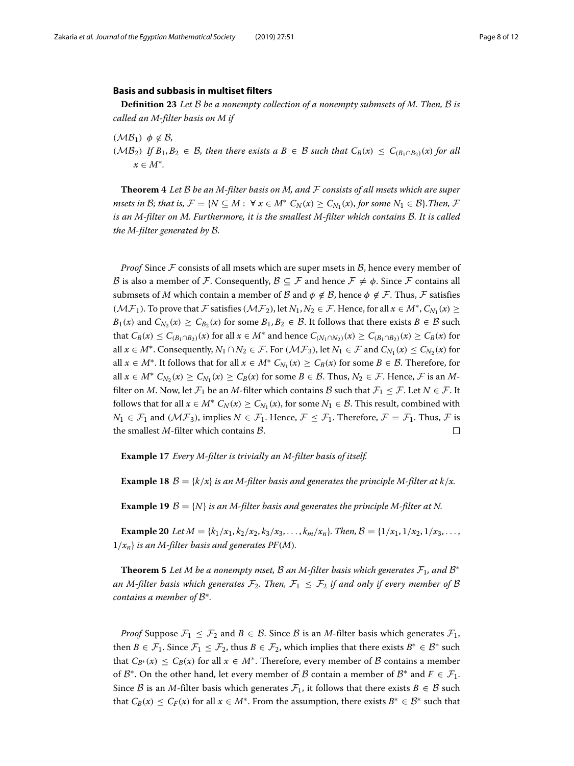#### <span id="page-7-0"></span>**Basis and subbasis in multiset filters**

**Definition 23** *Let* B *be a nonempty collection of a nonempty submsets of M. Then,* B *is called an M-filter basis on M if*

 $(MB_1)$   $\phi \notin B$ ,

( $MB_2$ ) *If*  $B_1, B_2 \text{ ∈ } B$ *, then there exists a*  $B \in B$  *such that*  $C_B(x) \leq C_{(B_1 ∩ B_2)}(x)$  *for all*  $x \in M^*$ .

<span id="page-7-1"></span>**Theorem 4** *Let* B *be an M-filter basis on M, and* F *consists of all msets which are super msets in B; that is,*  $\mathcal{F} = \{N \subseteq M : \forall x \in M^* \ C_N(x) \ge C_{N_1}(x)$ , for some  $N_1 \in \mathcal{B}\}$ . Then,  $\mathcal{F}$ *is an M-filter on M. Furthermore, it is the smallest M-filter which contains* B*. It is called the M-filter generated by* B*.*

*Proof* Since  $\mathcal F$  consists of all msets which are super msets in  $\mathcal B$ , hence every member of B is also a member of F. Consequently,  $\mathcal{B} \subseteq \mathcal{F}$  and hence  $\mathcal{F} \neq \phi$ . Since F contains all submsets of *M* which contain a member of *B* and  $\phi \notin B$ , hence  $\phi \notin \mathcal{F}$ . Thus,  $\mathcal{F}$  satisfies ( $M\mathcal{F}_1$ ). To prove that F satisfies ( $M\mathcal{F}_2$ ), let  $N_1, N_2 \in \mathcal{F}$ . Hence, for all  $x \in M^*$ ,  $C_{N_1}(x) \geq$ *B*<sub>1</sub>(*x*) and  $C_{N_2}(x) \ge C_{B_2}(x)$  for some  $B_1, B_2 \in \mathcal{B}$ . It follows that there exists  $B \in \mathcal{B}$  such that  $C_B(x) \leq C_{(B_1 \cap B_2)}(x)$  for all  $x \in M^*$  and hence  $C_{(N_1 \cap N_2)}(x) \geq C_{(B_1 \cap B_2)}(x) \geq C_B(x)$  for all *x* ∈ *M*<sup>∗</sup>. Consequently,  $N_1 \cap N_2$  ∈ *F*. For  $(M\mathcal{F}_3)$ , let  $N_1$  ∈ *F* and  $C_{N_1}(x) \le C_{N_2}(x)$  for all  $x \in M^*$ . It follows that for all  $x \in M^*$   $C_{N_1}(x) \ge C_B(x)$  for some  $B \in \mathcal{B}$ . Therefore, for all  $x \in M^*$   $C_{N_2}(x) \ge C_{N_1}(x) \ge C_B(x)$  for some  $B \in \mathcal{B}$ . Thus,  $N_2 \in \mathcal{F}$ . Hence,  $\mathcal{F}$  is an  $M$ filter on *M*. Now, let  $\mathcal{F}_1$  be an *M*-filter which contains *B* such that  $\mathcal{F}_1 \leq \mathcal{F}$ . Let  $N \in \mathcal{F}$ . It follows that for all  $x \in M^*$   $C_N(x) \ge C_{N_1}(x)$ , for some  $N_1 \in \mathcal{B}$ . This result, combined with *N*<sub>1</sub> ∈  $\mathcal{F}_1$  and (*M* $\mathcal{F}_3$ ), implies *N* ∈  $\mathcal{F}_1$ . Hence,  $\mathcal{F} \leq \mathcal{F}_1$ . Therefore,  $\mathcal{F} = \mathcal{F}_1$ . Thus,  $\mathcal{F}$  is the smallest *M*-filter which contains B.  $\Box$ 

**Example 17** *Every M-filter is trivially an M-filter basis of itself.*

**Example 18**  $\mathcal{B} = \{k/x\}$  *is an M-filter basis and generates the principle M-filter at k/x.* 

**Example 19**  $\mathcal{B} = \{N\}$  *is an M-filter basis and generates the principle M-filter at N.* 

**Example 20** *Let*  $M = \{k_1/x_1, k_2/x_2, k_3/x_3, \ldots, k_m/x_n\}$ . Then,  $B = \{1/x_1, 1/x_2, 1/x_3, \ldots,$  $1/x_n$  *is an M-filter basis and generates PF(M).* 

**Theorem 5** *Let M be a nonempty mset, B an M-filter basis which generates*  $\mathcal{F}_1$ *, and*  $\mathcal{B}^*$ *an M-filter basis which generates*  $\mathcal{F}_2$ . Then,  $\mathcal{F}_1 \leq \mathcal{F}_2$  *if and only if every member of*  $\beta$ *contains a member of* B∗*.*

*Proof* Suppose  $\mathcal{F}_1 \leq \mathcal{F}_2$  and  $B \in \mathcal{B}$ . Since  $\mathcal{B}$  is an *M*-filter basis which generates  $\mathcal{F}_1$ , then  $B \in \mathcal{F}_1$ . Since  $\mathcal{F}_1 \leq \mathcal{F}_2$ , thus  $B \in \mathcal{F}_2$ , which implies that there exists  $B^* \in \mathcal{B}^*$  such that  $C_{B^*}(x) \leq C_B(x)$  for all  $x \in M^*$ . Therefore, every member of  $\beta$  contains a member of  $\mathcal{B}^*$ . On the other hand, let every member of  $\mathcal{B}$  contain a member of  $\mathcal{B}^*$  and  $F \in \mathcal{F}_1$ . Since B is an M-filter basis which generates  $\mathcal{F}_1$ , it follows that there exists  $B \in \mathcal{B}$  such that  $C_B(x) \leq C_F(x)$  for all  $x \in M^*$ . From the assumption, there exists  $B^* \in \mathcal{B}^*$  such that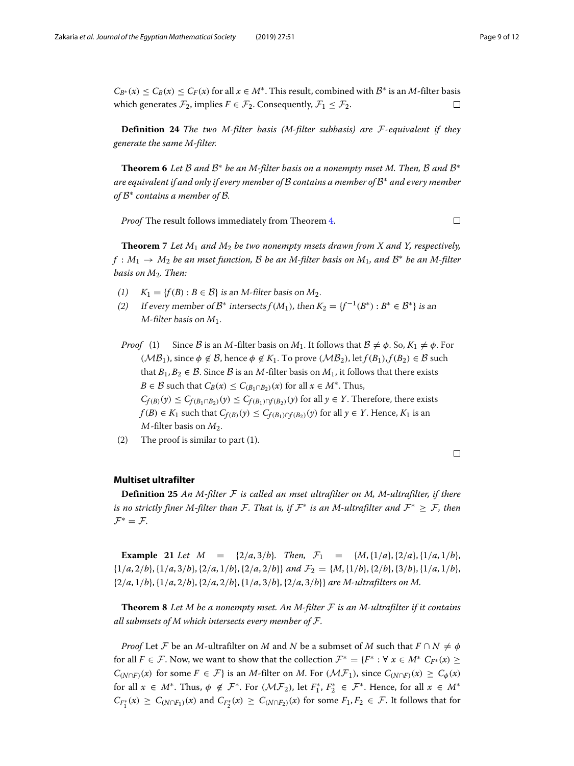$C_{B^*}(x) \leq C_B(x) \leq C_F(x)$  for all  $x \in M^*$ . This result, combined with  $B^*$  is an *M*-filter basis which generates  $\mathcal{F}_2$ , implies  $F \in \mathcal{F}_2$ . Consequently,  $\mathcal{F}_1 \leq \mathcal{F}_2$ .  $\Box$ 

**Definition 24** *The two M-filter basis (M-filter subbasis) are* F*-equivalent if they generate the same M-filter.*

**Theorem 6** Let B and  $B^*$  be an M-filter basis on a nonempty mset M. Then, B and  $B^*$ *are equivalent if and only if every member of* B *contains a member of* B<sup>∗</sup> *and every member of* B<sup>∗</sup> *contains a member of* B*.*

*Proof* The result follows immediately from Theorem [4.](#page-7-1)

 $\Box$ 

**Theorem 7** *Let M*<sup>1</sup> *and M*<sup>2</sup> *be two nonempty msets drawn from X and Y, respectively, f* : *M*<sup>1</sup> → *M*<sup>2</sup> *be an mset function,* B *be an M-filter basis on M*1*, and* B<sup>∗</sup> *be an M-filter basis on M*2*. Then:*

- (1)  $K_1 = \{f(B) : B \in \mathcal{B}\}\$ is an *M*-filter basis on  $M_2$ .
- (2) If every member of  $\mathcal{B}^*$  intersects  $f(M_1)$ , then  $K_2 = \{f^{-1}(B^*) : B^* \in \mathcal{B}^*\}\)$  is an M-filter basis on *M*1.
- *Proof* (1) Since B is an M-filter basis on  $M_1$ . It follows that  $B \neq \phi$ . So,  $K_1 \neq \phi$ . For ( $\mathcal{MB}_1$ ), since  $\phi \notin \mathcal{B}$ , hence  $\phi \notin K_1$ . To prove ( $\mathcal{MB}_2$ ), let  $f(B_1), f(B_2) \in \mathcal{B}$  such that  $B_1, B_2 \in \mathcal{B}$ . Since  $\mathcal{B}$  is an *M*-filter basis on  $M_1$ , it follows that there exists *B* ∈ *B* such that  $C_B(x) \leq C_{(B_1 \cap B_2)}(x)$  for all  $x \in M^*$ . Thus,  $C_{f(B)}(y) \leq C_{f(B_1 \cap B_2)}(y) \leq C_{f(B_1) \cap f(B_2)}(y)$  for all  $y \in Y$ . Therefore, there exists *f*(*B*) ∈ *K*<sub>1</sub> such that  $C_{f(B)}(y)$  ≤  $C_{f(B_1) \cap f(B_2)}(y)$  for all *y* ∈ *Y*. Hence, *K*<sub>1</sub> is an <sup>M</sup>-filter basis on *M*2.
- (2) The proof is similar to part (1).

 $\Box$ 

## <span id="page-8-0"></span>**Multiset ultrafilter**

**Definition 25** *An M-filter* F *is called an mset ultrafilter on M, M-ultrafilter, if there is no strictly finer M-filter than*  $\mathcal{F}$ *. That is, if*  $\mathcal{F}^*$  *is an M-ultrafilter and*  $\mathcal{F}^* \geq \mathcal{F}$ *, then*  $\mathcal{F}^* = \mathcal{F}.$ 

**Example 21** *Let*  $M = \{2/a, 3/b\}$ *. Then,*  $\mathcal{F}_1 = \{M, \{1/a\}, \{2/a\}, \{1/a, 1/b\}$ ,  $\{1/a, 2/b\}, \{1/a, 3/b\}, \{2/a, 1/b\}, \{2/a, 2/b\}$  *and*  $\mathcal{F}_2 = \{M, \{1/b\}, \{2/b\}, \{3/b\}, \{1/a, 1/b\}$ , {2/*a*, 1/*b*},{1/*a*, 2/*b*},{2/*a*, 2/*b*},{1/*a*, 3/*b*},{2/*a*, 3/*b*}} *are M-ultrafilters on M.*

<span id="page-8-1"></span>**Theorem 8** *Let M be a nonempty mset. An M-filter* F *is an M-ultrafilter if it contains all submsets of M which intersects every member of* F*.*

*Proof* Let *F* be an *M*-ultrafilter on *M* and *N* be a submset of *M* such that  $F \cap N \neq \emptyset$ for all  $F \in \mathcal{F}$ . Now, we want to show that the collection  $\mathcal{F}^* = \{F^* : \forall x \in M^* \ C_{F^*}(x) \geq 0\}$ *C*(*N*∩*F*)(*x*) for some *F* ∈ *F*} is an *M*-filter on *M*. For (*MF*<sub>1</sub>), since  $C$ <sub>(*N*∩*F*)(*x*) ≥  $C$ <sub> $\phi$ </sub>(*x*)</sub> for all  $x \in M^*$ . Thus,  $\phi \notin \mathcal{F}^*$ . For  $(\mathcal{MF}_2)$ , let  $F_1^*, F_2^* \in \mathcal{F}^*$ . Hence, for all  $x \in M^*$  $C_{F_1^*}(x) \geq C_{(N \cap F_1)}(x)$  and  $C_{F_2^*}(x) \geq C_{(N \cap F_2)}(x)$  for some  $F_1, F_2 \in \mathcal{F}$ . It follows that for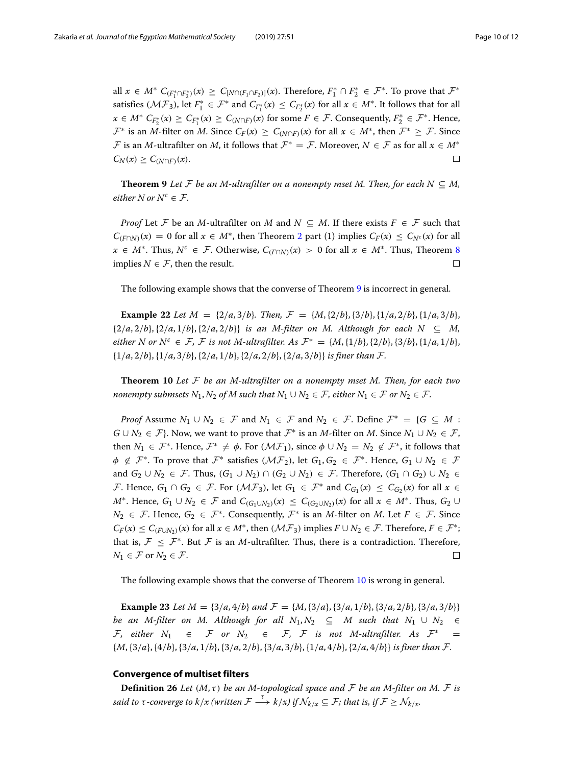all  $x \in M^*$   $C_{(F_1^*\cap F_2^*)}(x) \geq C_{[N\cap (F_1\cap F_2)]}(x)$ . Therefore,  $F_1^*\cap F_2^*\in \mathcal{F}^*.$  To prove that  $\mathcal{F}^*$ satisfies  $(\mathcal{MF}_3)$ , let  $F_1^* \in \mathcal{F}^*$  and  $C_{F_1^*}(x) \leq C_{F_2^*}(x)$  for all  $x \in M^*.$  It follows that for all *x* ∈ *M*<sup>∗</sup>  $C_{F_2^*}(x) \ge C_{F_1^*}(x) \ge C_{(N \cap F)}(x)$  for some  $F \in \mathcal{F}$ . Consequently,  $F_2^* \in \mathcal{F}^*$ . Hence,  $\mathcal{F}^*$  is an *M*-filter on *M*. Since  $C_F(x) \geq C_{(N \cap F)}(x)$  for all  $x \in M^*$ , then  $\mathcal{F}^* \geq \mathcal{F}$ . Since F is an *M*-ultrafilter on *M*, it follows that  $\mathcal{F}^* = \mathcal{F}$ . Moreover,  $N \in \mathcal{F}$  as for all  $x \in M^*$  $C_N(x) \geq C_{(N \cap F)}(x)$ .  $\Box$ 

<span id="page-9-2"></span>**Theorem 9** *Let*  $\mathcal F$  *be an M-ultrafilter on a nonempty mset M. Then, for each*  $N \subseteq M$ , *either*  $N$  *or*  $N^c \in \mathcal{F}$ *.* 

*Proof* Let F be an *M*-ultrafilter on *M* and  $N \subseteq M$ . If there exists  $F \in \mathcal{F}$  such that  $C_{(F \cap N)}(x) = 0$  for all  $x \in M^*$ , then Theorem [2](#page-4-1) part (1) implies  $C_F(x) \leq C_{N^c}(x)$  for all *x* ∈ *M*<sup>\*</sup>. Thus,  $N^c$  ∈ *F*. Otherwise,  $C_{(F \cap N)}(x) > 0$  for all  $x \in M^*$ . Thus, Theorem [8](#page-8-1) implies  $N \in \mathcal{F}$ , then the result.  $\Box$ 

The following example shows that the converse of Theorem [9](#page-9-2) is incorrect in general.

**Example 22** *Let*  $M = \{2/a, 3/b\}$ *. Then,*  $\mathcal{F} = \{M, \{2/b\}, \{3/b\}, \{1/a, 2/b\}, \{1/a, 3/b\}$ ,  $\{2/a, 2/b\}, \{2/a, 1/b\}, \{2/a, 2/b\}\}$  *is an M-filter on M. Although for each*  $N \subseteq M$ , *either N* or  $N^c \in \mathcal{F}$ , *F is not M*-ultrafilter. As  $\mathcal{F}^* = \{M, \{1/b\}, \{2/b\}, \{3/b\}, \{1/a, 1/b\},\}$ {1/*a*, 2/*b*},{1/*a*, 3/*b*},{2/*a*, 1/*b*},{2/*a*, 2/*b*},{2/*a*, 3/*b*}} *is finer than* F*.*

<span id="page-9-1"></span>**Theorem 10** *Let* F *be an M-ultrafilter on a nonempty mset M. Then, for each two nonempty submsets*  $N_1$ ,  $N_2$  *of*  $M$  *such that*  $N_1 \cup N_2 \in \mathcal{F}$ *, either*  $N_1 \in \mathcal{F}$  *or*  $N_2 \in \mathcal{F}$ *.* 

*Proof* Assume  $N_1 \cup N_2 \in \mathcal{F}$  and  $N_1 \in \mathcal{F}$  and  $N_2 \in \mathcal{F}$ . Define  $\mathcal{F}^* = \{G \subseteq M :$ *G* ∪ *N*<sub>2</sub> ∈  $\mathcal{F}$ }. Now, we want to prove that  $\mathcal{F}^*$  is an *M*-filter on *M*. Since *N*<sub>1</sub> ∪ *N*<sub>2</sub> ∈  $\mathcal{F}$ , then  $N_1 \in \mathcal{F}^*$ . Hence,  $\mathcal{F}^* \neq \phi$ . For  $(\mathcal{MF}_1)$ , since  $\phi \cup N_2 = N_2 \notin \mathcal{F}^*$ , it follows that  $\phi \notin \mathcal{F}^*$ . To prove that  $\mathcal{F}^*$  satisfies  $(\mathcal{MF}_2)$ , let  $G_1, G_2 \in \mathcal{F}^*$ . Hence,  $G_1 \cup N_2 \in \mathcal{F}$ and  $G_2 \cup N_2 \in \mathcal{F}$ . Thus,  $(G_1 \cup N_2) \cap (G_2 \cup N_2) \in \mathcal{F}$ . Therefore,  $(G_1 \cap G_2) \cup N_2 \in \mathcal{F}$ . F. Hence,  $G_1 \cap G_2 \in \mathcal{F}$ . For  $(\mathcal{MF}_3)$ , let  $G_1 \in \mathcal{F}^*$  and  $C_{G_1}(x) \leq C_{G_2}(x)$  for all  $x \in$ *M*<sup>∗</sup>. Hence,  $G_1 \cup N_2 \in \mathcal{F}$  and  $C_{(G_1 \cup N_2)}(x) \leq C_{(G_2 \cup N_2)}(x)$  for all  $x \in M^*$ . Thus,  $G_2 \cup$ *N*<sub>2</sub> ∈  $\mathcal{F}$ . Hence,  $G_2$  ∈  $\mathcal{F}^*$ . Consequently,  $\mathcal{F}^*$  is an *M*-filter on *M*. Let  $F$  ∈  $\mathcal{F}$ . Since  $C_F(x) \leq C_{(F \cup N_2)}(x)$  for all  $x \in M^*$ , then  $(\mathcal{MF}_3)$  implies  $F \cup N_2 \in \mathcal{F}$ . Therefore,  $F \in \mathcal{F}^*$ ; that is,  $\mathcal{F} \leq \mathcal{F}^*$ . But  $\mathcal{F}$  is an *M*-ultrafilter. Thus, there is a contradiction. Therefore,  $N_1 \in \mathcal{F}$  or  $N_2 \in \mathcal{F}$ .  $\Box$ 

The following example shows that the converse of Theorem [10](#page-9-1) is wrong in general.

**Example 23** *Let*  $M = \{3/a, 4/b\}$  *and*  $\mathcal{F} = \{M, \{3/a\}, \{3/a, 1/b\}, \{3/a, 2/b\}, \{3/a, 3/b\}\}\$ *be an M-filter on M. Although for all*  $N_1, N_2 \subseteq M$  such that  $N_1 \cup N_2 \in$  $\mathcal{F}_1$  either  $N_1$  ∈  $\mathcal{F}$  or  $N_2$  ∈  $\mathcal{F}_2$ ,  $\mathcal{F}_3$  is not M-ultrafilter. As  $\mathcal{F}^*$  = {*M*,{3/*a*},{4/*b*},{3/*a*, 1/*b*},{3/*a*, 2/*b*},{3/*a*, 3/*b*},{1/*a*, 4/*b*},{2/*a*, 4/*b*}} *is finer than* F*.*

## <span id="page-9-0"></span>**Convergence of multiset filters**

<span id="page-9-3"></span>**Definition 26** *Let*  $(M, \tau)$  *be an M-topological space and*  $\mathcal F$  *be an M-filter on M.*  $\mathcal F$  *is said to*  $\tau$ -converge to  $k/x$  (written  $\mathcal{F} \stackrel{\tau}{\longrightarrow} k/x$ ) if  $\mathcal{N}_{k/x} \subseteq \mathcal{F}$ ; that is, if  $\mathcal{F} \geq \mathcal{N}_{k/x}$ .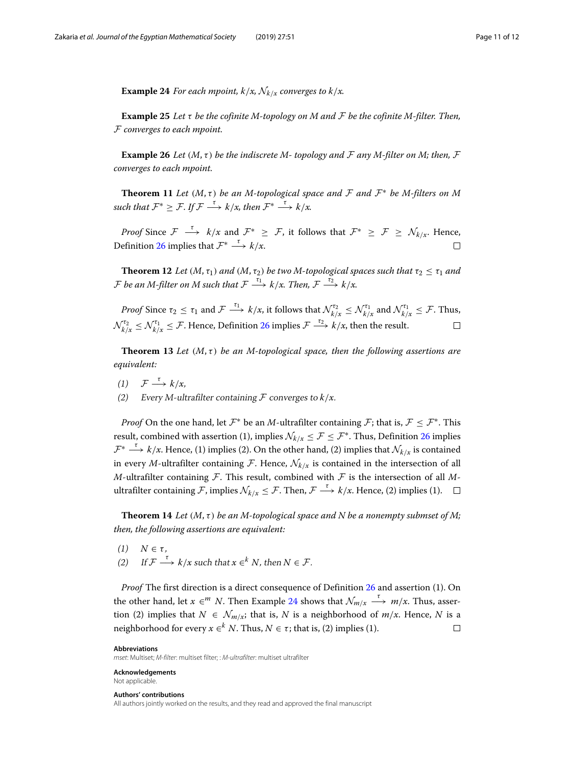<span id="page-10-0"></span>**Example 24** *For each mpoint, k/x,*  $\mathcal{N}_{k/x}$  *converges to k/x.* 

**Example 25** *Let* τ *be the cofinite M-topology on M and* F *be the cofinite M-filter. Then,* F *converges to each mpoint.*

**Example 26** *Let*  $(M, \tau)$  *be the indiscrete M*-*topology and*  $\mathcal F$  *any M*-filter on *M*; then,  $\mathcal F$ *converges to each mpoint.*

**Theorem 11** Let  $(M, \tau)$  be an M-topological space and F and  $\mathcal{F}^*$  be M-filters on M *such that*  $\mathcal{F}^* > \mathcal{F}$ *. If*  $\mathcal{F} \xrightarrow{\tau} k/x$ *, then*  $\mathcal{F}^* \xrightarrow{\tau} k/x$ *.* 

*Proof* Since  $\mathcal{F} \stackrel{\tau}{\longrightarrow} k/x$  and  $\mathcal{F}^* \geq \mathcal{F}$ , it follows that  $\mathcal{F}^* \geq \mathcal{F} \geq \mathcal{N}_{k/x}$ . Hence, Definition [26](#page-9-3) implies that  $\mathcal{F}^* \stackrel{\tau}{\longrightarrow} k/x$ .  $\Box$ 

**Theorem 12** *Let*  $(M, \tau_1)$  *and*  $(M, \tau_2)$  *be two M-topological spaces such that*  $\tau_2 \leq \tau_1$  *and*  $\overline{F}$  *be an M-filter on M such that*  $\overline{F} \stackrel{\tau_1}{\longrightarrow} k/x$ . Then,  $\overline{F} \stackrel{\tau_2}{\longrightarrow} k/x$ .

*Proof* Since  $\tau_2 \le \tau_1$  and  $\mathcal{F} \stackrel{\tau_1}{\longrightarrow} k/x$ , it follows that  $\mathcal{N}^{\tau_2}_{k/x} \le \mathcal{N}^{\tau_1}_{k/x}$  and  $\mathcal{N}^{\tau_1}_{k/x} \le \mathcal{F}$ . Thus,  $\mathcal{N}_{k/x}^{\tau_2} \leq \mathcal{N}_{k/x}^{\tau_1} \leq \mathcal{F}.$  Hence, Definition [26](#page-9-3) implies  $\mathcal{F} \stackrel{\tau_2}{\longrightarrow} k/x$ , then the result.  $\Box$ 

**Theorem 13** Let  $(M, \tau)$  be an M-topological space, then the following assertions are *equivalent:*

- (1)  $\mathcal{F} \xrightarrow{\tau} k/x$ ,
- Every M-ultrafilter containing  $\mathcal F$  converges to  $k/x$ .

*Proof* On the one hand, let  $\mathcal{F}^*$  be an *M*-ultrafilter containing  $\mathcal{F}$ ; that is,  $\mathcal{F} \leq \mathcal{F}^*$ . This result, combined with assertion (1), implies  $\mathcal{N}_{k/x} \leq \mathcal{F} \leq \mathcal{F}^*$ . Thus, Definition [26](#page-9-3) implies  $\mathcal{F}^* \stackrel{\tau}{\longrightarrow} k/x$ . Hence, (1) implies (2). On the other hand, (2) implies that  $\mathcal{N}_{k/x}$  is contained in every *M*-ultrafilter containing *F*. Hence,  $\mathcal{N}_{k/x}$  is contained in the intersection of all  $M$ -ultrafilter containing  $F$ . This result, combined with  $F$  is the intersection of all  $M$ ultrafilter containing F, implies  $\mathcal{N}_{k/x} \leq \mathcal{F}$ . Then,  $\mathcal{F} \xrightarrow{\tau} k/x$ . Hence, (2) implies (1).  $\Box$ 

**Theorem 14** *Let*  $(M, \tau)$  *be an M-topological space and N be a nonempty submset of M; then, the following assertions are equivalent:*

(1)  $N \in \tau$ , (2) If  $\mathcal{F} \stackrel{\tau}{\longrightarrow} k/x$  such that  $x \in K$ , then  $N \in \mathcal{F}$ .

*Proof* The first direction is a direct consequence of Definition [26](#page-9-3) and assertion (1). On the other hand, let  $x \in M$  *N*. Then Example [24](#page-10-0) shows that  $\mathcal{N}_{m/x} \stackrel{\tau}{\longrightarrow} m/x$ . Thus, assertion (2) implies that  $N \in \mathcal{N}_{m/x}$ ; that is, N is a neighborhood of  $m/x$ . Hence, N is a neighborhood for every  $x \in K^k$  *N*. Thus,  $N \in \tau$ ; that is, (2) implies (1).  $\Box$ 

#### **Abbreviations**

mset: Multiset; M-filter: multiset filter; : M-ultrafilter: multiset ultrafilter

**Acknowledgements** Not applicable.

#### **Authors' contributions**

All authors jointly worked on the results, and they read and approved the final manuscript